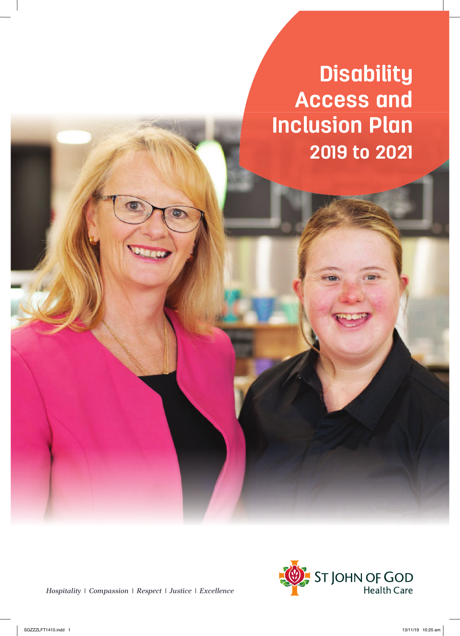**Disability Access and Inclusion Plan 2019 to 2021**

*Hospitali | Compassion | Respect | Justice | Excellence*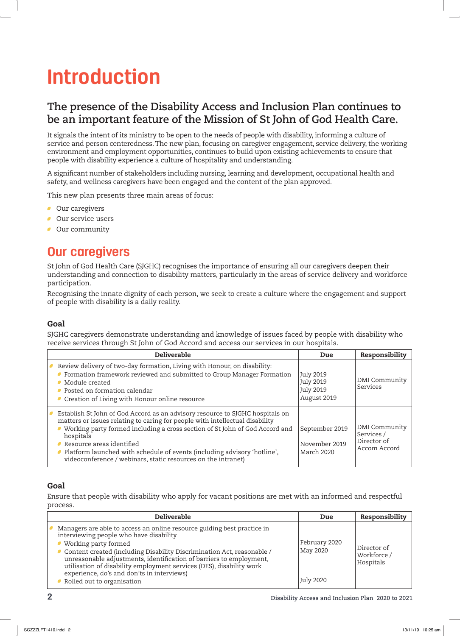# **Introduction**

### **The presence of the Disability Access and Inclusion Plan continues to be an important feature of the Mission of St John of God Health Care.**

It signals the intent of its ministry to be open to the needs of people with disability, informing a culture of service and person centeredness. The new plan, focusing on caregiver engagement, service delivery, the working environment and employment opportunities, continues to build upon existing achievements to ensure that people with disability experience a culture of hospitality and understanding.

A significant number of stakeholders including nursing, learning and development, occupational health and safety, and wellness caregivers have been engaged and the content of the plan approved.

This new plan presents three main areas of focus:

- **Our caregivers**
- **Our service users**
- **Our community**

## **Our caregivers**

St John of God Health Care (SJGHC) recognises the importance of ensuring all our caregivers deepen their understanding and connection to disability matters, particularly in the areas of service delivery and workforce participation.

Recognising the innate dignity of each person, we seek to create a culture where the engagement and support of people with disability is a daily reality.

#### Goal

SJGHC caregivers demonstrate understanding and knowledge of issues faced by people with disability who receive services through St John of God Accord and access our services in our hospitals.

| <b>Deliverable</b>                                                                                                                                                                                                                                                                                                                                                                                                                  | Due                                                  | Responsibility                                             |
|-------------------------------------------------------------------------------------------------------------------------------------------------------------------------------------------------------------------------------------------------------------------------------------------------------------------------------------------------------------------------------------------------------------------------------------|------------------------------------------------------|------------------------------------------------------------|
| Review delivery of two-day formation, Living with Honour, on disability:<br>Formation framework reviewed and submitted to Group Manager Formation<br>Module created<br>• Posted on formation calendar<br>Creation of Living with Honour online resource                                                                                                                                                                             | July 2019<br>July 2019<br>July 2019<br>August 2019   | DMI Community<br>Services                                  |
| Establish St John of God Accord as an advisory resource to SJGHC hospitals on<br>matters or issues relating to caring for people with intellectual disability<br>Working party formed including a cross section of St John of God Accord and<br>hospitals<br>Resource areas identified<br>Platform launched with schedule of events (including advisory 'hotline',<br>videoconference / webinars, static resources on the intranet) | September 2019<br>November 2019<br><b>March 2020</b> | DMI Community<br>Services /<br>Director of<br>Accom Accord |

#### Goal

Ensure that people with disability who apply for vacant positions are met with an informed and respectful process.

| <b>Deliverable</b>                                                                                                                                                                                                                                                                                                                                                                                                                                | Due                                    | Responsibility                          |
|---------------------------------------------------------------------------------------------------------------------------------------------------------------------------------------------------------------------------------------------------------------------------------------------------------------------------------------------------------------------------------------------------------------------------------------------------|----------------------------------------|-----------------------------------------|
| Managers are able to access an online resource guiding best practice in<br>interviewing people who have disability<br>• Working party formed<br>Content created (including Disability Discrimination Act, reasonable /<br>unreasonable adjustments, identification of barriers to employment,<br>utilisation of disability employment services (DES), disability work<br>experience, do's and don'ts in interviews)<br>Rolled out to organisation | February 2020<br>May 2020<br>July 2020 | Director of<br>Workforce /<br>Hospitals |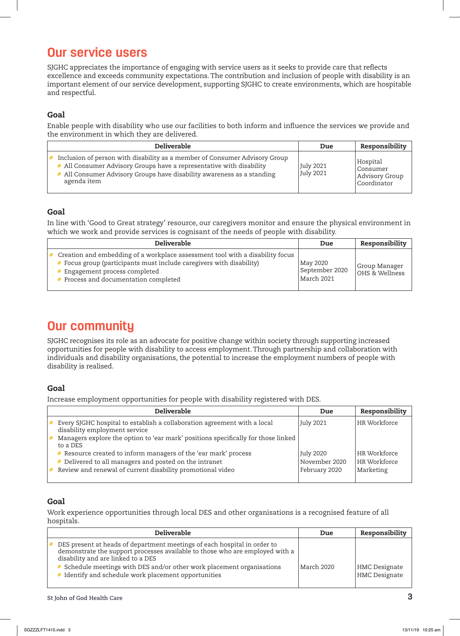## **Our service users**

SJGHC appreciates the importance of engaging with service users as it seeks to provide care that reflects excellence and exceeds community expectations. The contribution and inclusion of people with disability is an important element of our service development, supporting SJGHC to create environments, which are hospitable and respectful.

#### Goal

Enable people with disability who use our facilities to both inform and influence the services we provide and the environment in which they are delivered.

| <b>Deliverable</b>                                                                                                                                                                                                                      | Due                           | Responsibility                                        |
|-----------------------------------------------------------------------------------------------------------------------------------------------------------------------------------------------------------------------------------------|-------------------------------|-------------------------------------------------------|
| Inclusion of person with disability as a member of Consumer Advisory Group<br>All Consumer Advisory Groups have a representative with disability<br>All Consumer Advisory Groups have disability awareness as a standing<br>agenda item | July 2021<br><b>July 2021</b> | Hospital<br>Consumer<br>Advisory Group<br>Coordinator |

#### Goal

In line with 'Good to Great strategy' resource, our caregivers monitor and ensure the physical environment in which we work and provide services is cognisant of the needs of people with disability.

| <b>Deliverable</b>                                                                                                                                                                                                         | Due                                      | Responsibility                    |
|----------------------------------------------------------------------------------------------------------------------------------------------------------------------------------------------------------------------------|------------------------------------------|-----------------------------------|
| Creation and embedding of a workplace assessment tool with a disability focus<br>Focus group (participants must include caregivers with disability)<br>Engagement process completed<br>Process and documentation completed | May 2020<br>September 2020<br>March 2021 | Group Manager<br>  OHS & Wellness |

## **Our community**

SJGHC recognises its role as an advocate for positive change within society through supporting increased opportunities for people with disability to access employment. Through partnership and collaboration with individuals and disability organisations, the potential to increase the employment numbers of people with disability is realised.

#### Goal

Increase employment opportunities for people with disability registered with DES.

| <b>Deliverable</b>                                                                                        | Due           | Responsibility |
|-----------------------------------------------------------------------------------------------------------|---------------|----------------|
| Every SJGHC hospital to establish a collaboration agreement with a local<br>disability employment service | July 2021     | HR Workforce   |
| Managers explore the option to 'ear mark' positions specifically for those linked<br>to a DES             |               |                |
| Resource created to inform managers of the 'ear mark' process                                             | July 2020     | HR Workforce   |
| • Delivered to all managers and posted on the intranet                                                    | November 2020 | HR Workforce   |
| Review and renewal of current disability promotional video                                                | February 2020 | Marketing      |
|                                                                                                           |               |                |

#### Goal

Work experience opportunities through local DES and other organisations is a recognised feature of all hospitals.

| <b>Deliverable</b>                                                                                                                                                                                                                                                                                                           | Due        | Responsibility                        |
|------------------------------------------------------------------------------------------------------------------------------------------------------------------------------------------------------------------------------------------------------------------------------------------------------------------------------|------------|---------------------------------------|
| DES present at heads of department meetings of each hospital in order to<br>demonstrate the support processes available to those who are employed with a<br>disability and are linked to a DES<br>Schedule meetings with DES and/or other work placement organisations<br>Identify and schedule work placement opportunities | March 2020 | <b>HMC</b> Designate<br>HMC Designate |